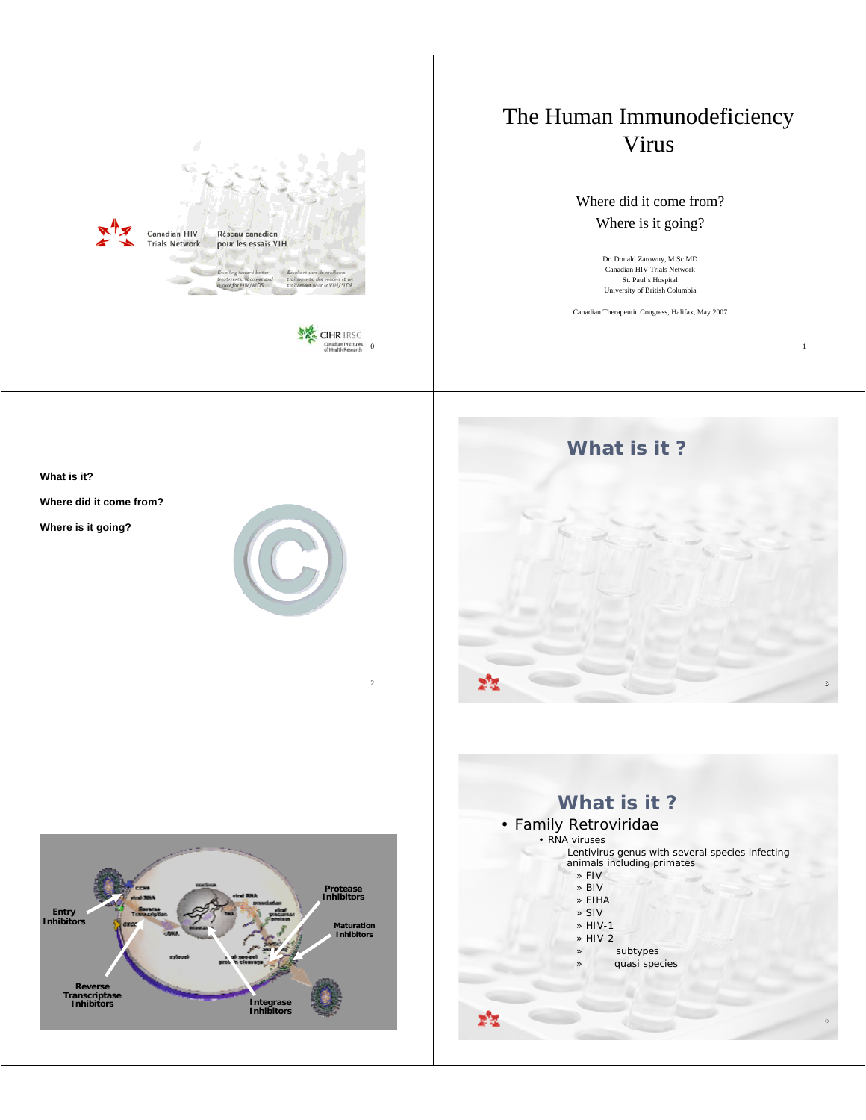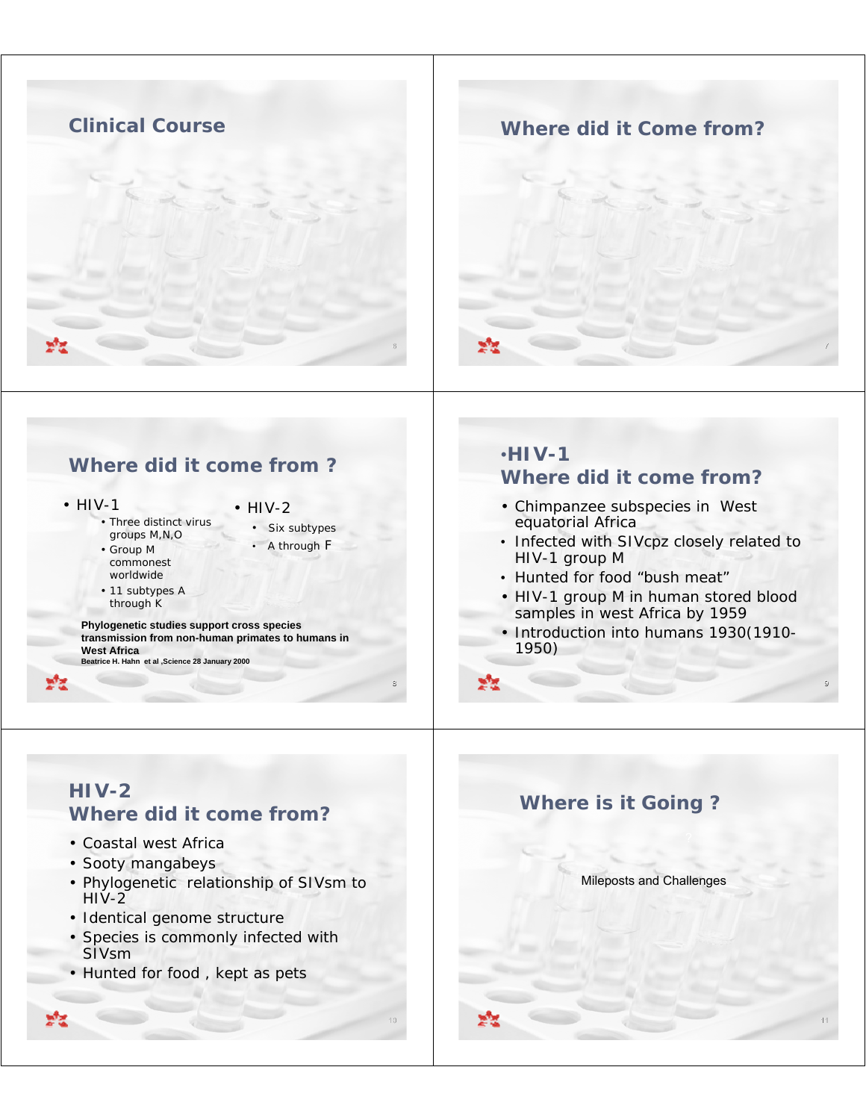

### **Where did it Come from?**



## **Where did it come from ?**

• HIV-1

- HIV-2
- Three distinct virus groups M,N,O • Group M
- commonest worldwide
- Six subtypes • A through F
- 11 subtypes A through K

**Phylogenetic studies support cross species transmission from non-human primates to humans in West Africa Beatrice H. Hahn et al ,Science 28 January 2000**

## •**HIV-1 Where did it come from?**

- Chimpanzee subspecies in West equatorial Africa
- Infected with SIVcpz closely related to HIV-1 group M
- Hunted for food "bush meat"
- HIV-1 group M in human stored blood samples in west Africa by 1959
- Introduction into humans 1930(1910- 1950)

9

11



8

10

## **HIV-2 Where did it come from?**

- Coastal west Africa
- Sooty mangabeys
- Phylogenetic relationship of SIVsm to  $HIV-2$
- Identical genome structure
- Species is commonly infected with SIVsm
- Hunted for food , kept as pets

**Where is it Going ?**

Mileposts and Challenges

уłд.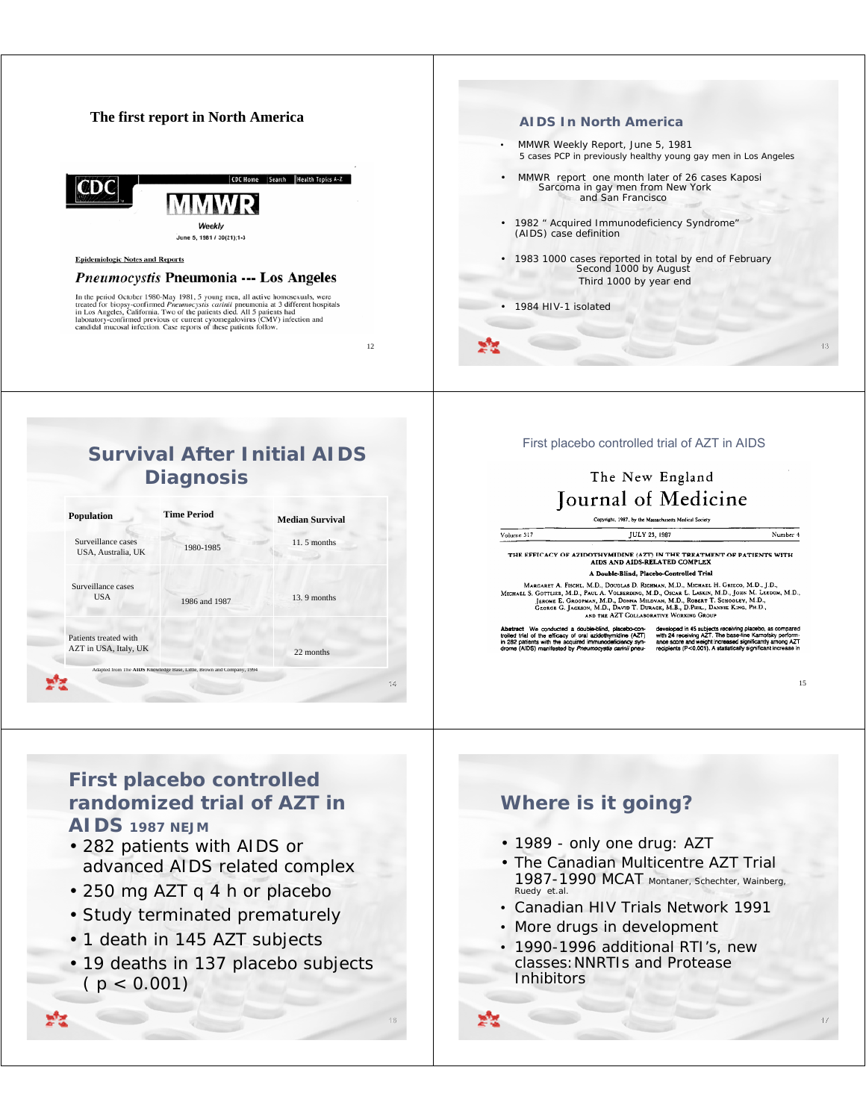#### **The first report in North America AIDS In North America** • MMWR Weekly Report, June 5, 1981 5 cases PCP in previously healthy young gay men in Los Angeles C Home Search Health Topics A-Z • MMWR report one month later of 26 cases Kaposi Sarcoma in gay men from New York mdic and San Francisco • 1982 " Acquired Immunodeficiency Syndrome" Weekly (AIDS) case definition June 5, 1981 / 30(21):1-3 • 1983 1000 cases reported in total by end of February **Epidemiologic Notes and Reports** Second 1000 by August Pneumocystis Pneumonia --- Los Angeles Third 1000 by year end In the period October 1980-May 1981, 5 young men, all active homosexuals, were treated for biopsy-confirmed *Pneumocystis carinii* pneumonia at 3 different hospitals in Los Angeles, California. Two of the patients died. A • 1984 HIV-1 isolated 12 13

## **Survival After Initial AIDS Diagnosis**

| <b>Population</b>                        | <b>Time Period</b>                                                    | <b>Median Survival</b> |
|------------------------------------------|-----------------------------------------------------------------------|------------------------|
| Surveillance cases<br>USA, Australia, UK | 1980-1985                                                             | $11.5$ months          |
| Surveillance cases<br><b>USA</b>         | 1986 and 1987                                                         | 13.9 months            |
| Patients treated with                    |                                                                       |                        |
| AZT in USA, Italy, UK                    |                                                                       | 22 months              |
|                                          | Adapted from The AIDS Knowledge Base, Little, Brown and Company, 1994 |                        |
|                                          |                                                                       |                        |

First placebo controlled trial of AZT in AIDS

## The New England **Tournal of Medicine**

JULY 23, 1987

THE EFFICACY OF AZIDOTHYMIDINE (AZT) IN THE TREATMENT OF PATIENTS WITH AIDS AND AIDS-RELATED COMPLEX

A Double-Blind, Placebo-Controlled Trial

MARGARET A. FISCHL, M.D., DOUGLAS D. RICHMAN, M.D., MICHARL H. GRIECO, M.D., J.D.,<br>MICHARL S. GOTTLIEB, M.D., PAUL A. VOLSKROING, M.D., OSCAR L. LASKIN, M.D., JOHN M. LEEDOM, M.D.,<br>JEROME E. GROOPMAN, M.D., DONNA MILONAN,

Abstract We conducted a double-blind, placebo-con-<br>troiled trial of the efficacy of oral azidothymidine (AZT)<br>in 282 patients with the acquired immunodeficiency syn-<br>drome (AIDS) manifested by Pneumocystis carinii pneu-

Volume 317

developed in 45 subjects receiving placebo, as compared<br>wrth 24 receiving AZT. The base-line Karnofsky perform-<br>ance score and weight increased significantly among AZT<br>recipients (P<0.001). A statistically significant incr

15

Number 4

17

### **First placebo controlled randomized trial of AZT in AIDS 1987 NEJM**

- 282 patients with AIDS or advanced AIDS related complex
- 250 mg AZT q 4 h or placebo
- Study terminated prematurely
- 1 death in 145 AZT subjects
- 19 deaths in 137 placebo subjects  $(p < 0.001)$

# **Where is it going?**

- 1989 only one drug: AZT
- The Canadian Multicentre AZT Trial 1987-1990 MCAT Montaner, Schechter, Wainberg, Ruedy et.al.
- Canadian HIV Trials Network 1991
- More drugs in development
- 1990-1996 additional RTI's, new classes:NNRTIs and Protease **Inhibitors**
- 

16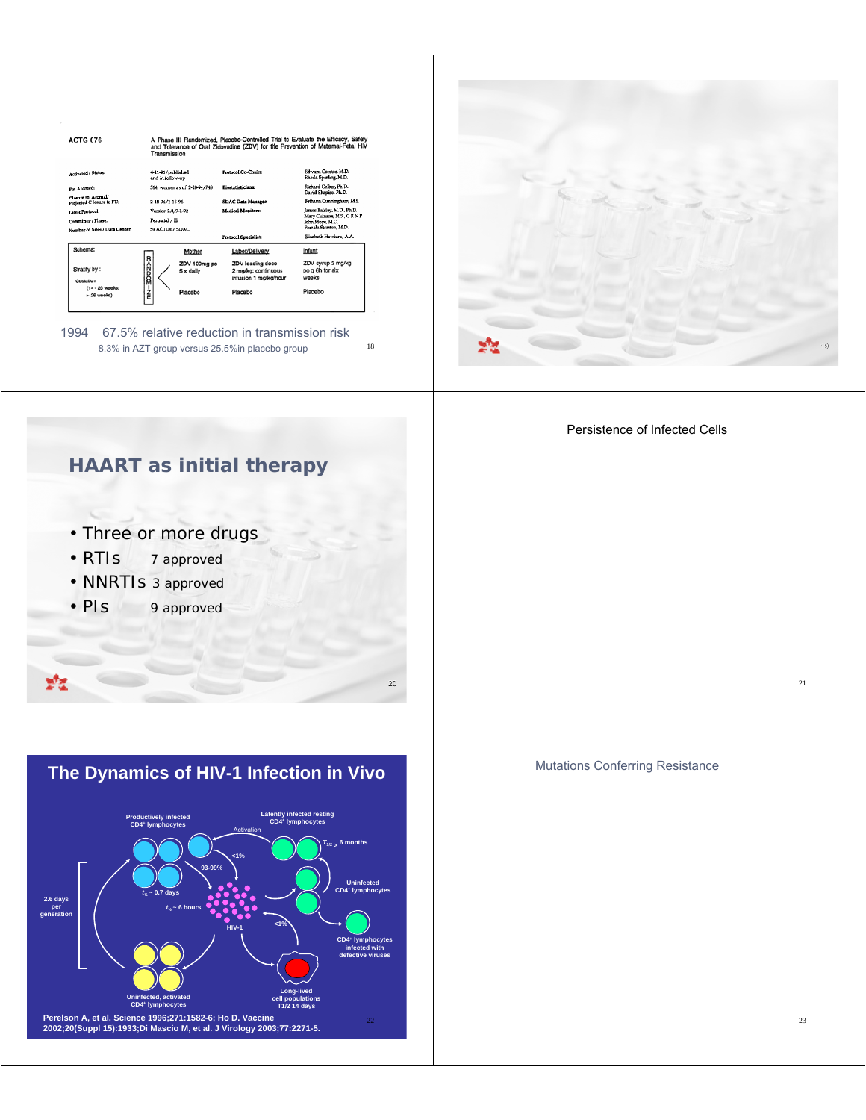

1994 67.5% relative reduction in transmission risk 8.3% in AZT group versus 25.5%in placebo group

**HAART as initial therapy**

18

20



Persistence of Infected Cells



- RTIs 7 approved
- NNRTIs 3 approved
- PIs 9 approved

ಸೆಕ



Mutations Conferring Resistance

21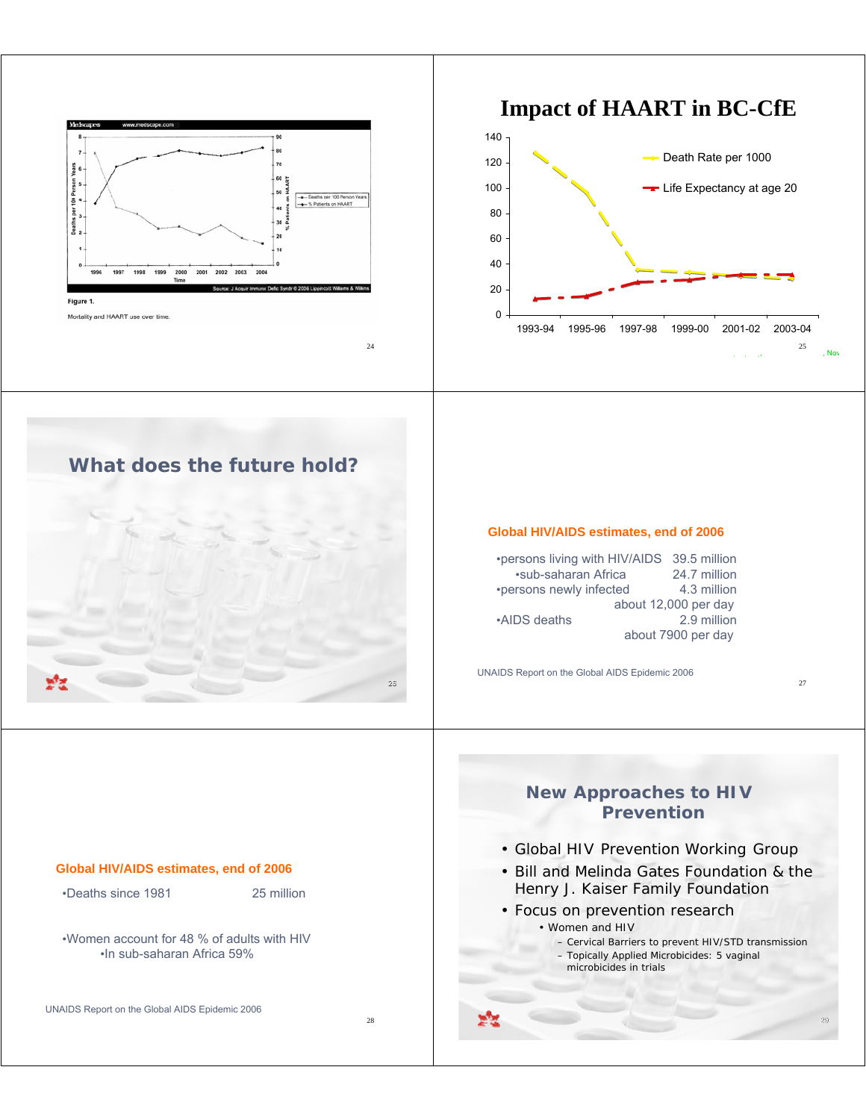





## **What does the future hold?**



#### **Global HIV/AIDS estimates, end of 2006**

•persons living with HIV/AIDS 39.5 million •sub-saharan Africa 24.7 million •persons newly infected 4.3 million about 12,000 per day •AIDS deaths 2.9 million about 7900 per day

UNAIDS Report on the Global AIDS Epidemic 2006

27

29

# **Global HIV/AIDS estimates, end of 2006** •Deaths since 1981 25 million •Women account for 48 % of adults with HIV •In sub-saharan Africa 59%

UNAIDS Report on the Global AIDS Epidemic 2006

28

#### **New Approaches to HIV Prevention**

- Global HIV Prevention Working Group
- Bill and Melinda Gates Foundation & the Henry J. Kaiser Family Foundation
- Focus on prevention research • Women and HIV
	- Cervical Barriers to prevent HIV/STD transmission – Topically Applied Microbicides: 5 vaginal microbicides in trials